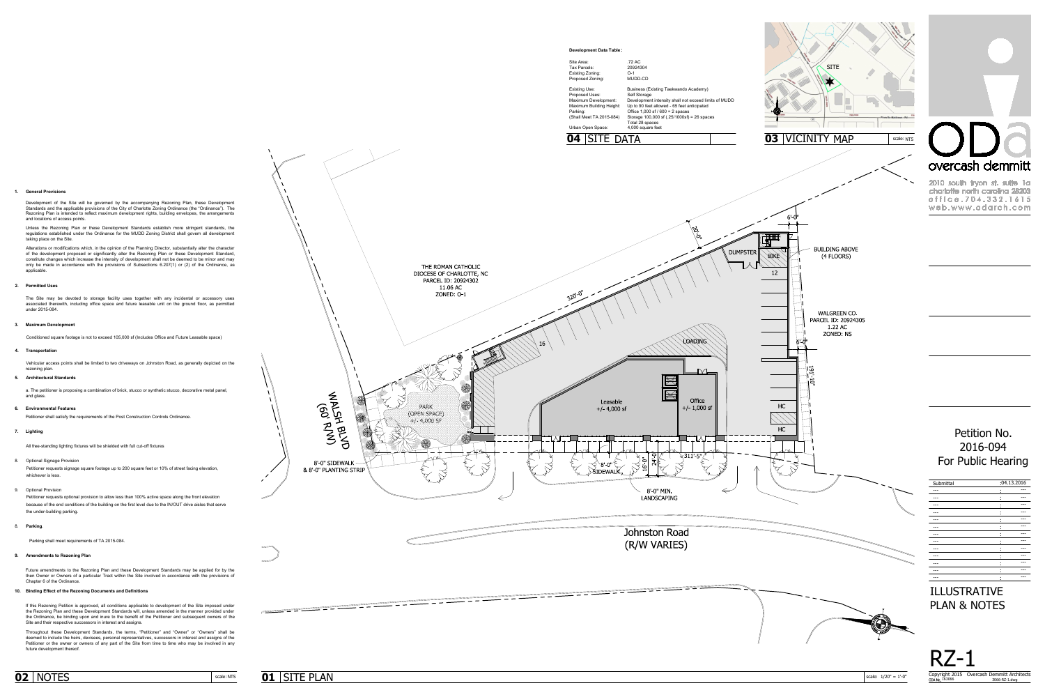









| Submittal |        | :04.13.2016 |  |
|-----------|--------|-------------|--|
|           | ٠<br>٠ |             |  |
|           | ٠<br>٠ |             |  |
|           | ٠<br>٠ |             |  |
|           | ٠<br>٠ |             |  |
|           | ٠<br>٠ |             |  |
|           | ٠<br>٠ |             |  |
|           | ٠<br>٠ |             |  |
|           | ٠<br>٠ |             |  |
|           | ٠<br>٠ |             |  |
|           | ٠<br>٠ |             |  |
|           | ٠<br>٠ |             |  |
|           | ٠<br>٠ |             |  |
|           | ٠<br>٠ |             |  |
|           |        |             |  |